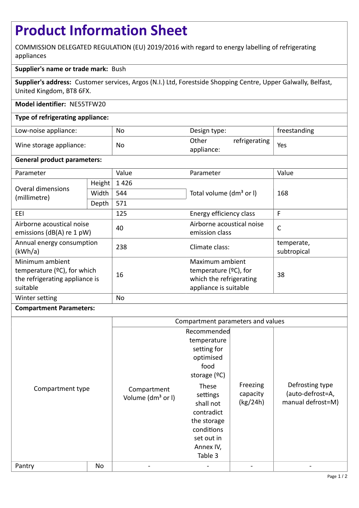# **Product Information Sheet**

COMMISSION DELEGATED REGULATION (EU) 2019/2016 with regard to energy labelling of refrigerating appliances

## **Supplier's name or trade mark:** Bush

**Supplier's address:** Customer services, Argos (N.I.) Ltd, Forestside Shopping Centre, Upper Galwally, Belfast, United Kingdom, BT8 6FX.

## **Model identifier:** NE55TFW20

### **Type of refrigerating appliance:**

| Low-noise appliance:    | No | Design type:        |               | freestanding |
|-------------------------|----|---------------------|---------------|--------------|
| Wine storage appliance: | No | Other<br>appliance: | refrigerating | Yes          |

#### **General product parameters:**

| Parameter                                                                                              |                                | Value | Parameter                                                                                       | Value                     |
|--------------------------------------------------------------------------------------------------------|--------------------------------|-------|-------------------------------------------------------------------------------------------------|---------------------------|
| Overal dimensions<br>(millimetre)                                                                      | Height                         | 1426  |                                                                                                 |                           |
|                                                                                                        | Width                          | 544   | Total volume (dm <sup>3</sup> or I)                                                             | 168                       |
|                                                                                                        | Depth                          | 571   |                                                                                                 |                           |
| EEI                                                                                                    | 125<br>Energy efficiency class |       | F                                                                                               |                           |
| Airborne acoustical noise<br>emissions ( $dB(A)$ re 1 pW)                                              |                                | 40    | Airborne acoustical noise<br>emission class                                                     | $\mathsf{C}$              |
| Annual energy consumption<br>(kWh/a)                                                                   |                                | 238   | Climate class:                                                                                  | temperate,<br>subtropical |
| Minimum ambient<br>temperature ( $\degree$ C), for which<br>the refrigerating appliance is<br>suitable |                                | 16    | Maximum ambient<br>temperature $(°C)$ , for<br>which the refrigerating<br>appliance is suitable | 38                        |
| Winter setting                                                                                         |                                | No    |                                                                                                 |                           |

#### **Compartment Parameters:**

|                  |    | Compartment parameters and values            |                                                                                                                                  |                                  |                                                          |
|------------------|----|----------------------------------------------|----------------------------------------------------------------------------------------------------------------------------------|----------------------------------|----------------------------------------------------------|
| Compartment type |    | Compartment<br>Volume (dm <sup>3</sup> or I) | Recommended<br>temperature<br>setting for<br>optimised<br>food<br>storage $(°C)$<br>These<br>settings<br>shall not<br>contradict | Freezing<br>capacity<br>(kg/24h) | Defrosting type<br>(auto-defrost=A,<br>manual defrost=M) |
|                  |    |                                              | the storage<br>conditions<br>set out in<br>Annex IV,<br>Table 3                                                                  |                                  |                                                          |
| Pantry           | No |                                              |                                                                                                                                  |                                  |                                                          |